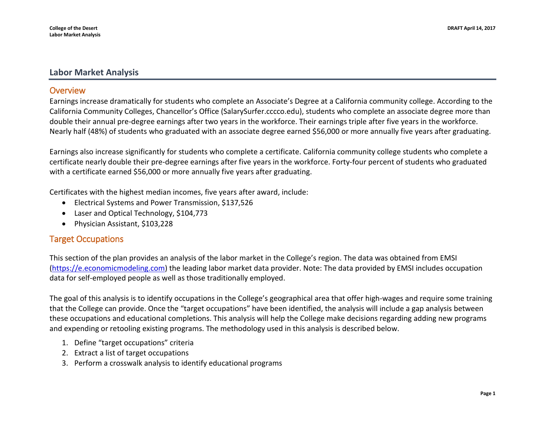## **Labor Market Analysis**

## **Overview**

Earnings increase dramatically for students who complete an Associate's Degree at a California community college. According to the California Community Colleges, Chancellor's Office (SalarySurfer.cccco.edu), students who complete an associate degree more than double their annual pre-degree earnings after two years in the workforce. Their earnings triple after five years in the workforce. Nearly half (48%) of students who graduated with an associate degree earned \$56,000 or more annually five years after graduating.

Earnings also increase significantly for students who complete a certificate. California community college students who complete a certificate nearly double their pre-degree earnings after five years in the workforce. Forty-four percent of students who graduated with a certificate earned \$56,000 or more annually five years after graduating.

Certificates with the highest median incomes, five years after award, include:

- Electrical Systems and Power Transmission, \$137,526
- Laser and Optical Technology, \$104,773
- Physician Assistant, \$103,228

# Target Occupations

This section of the plan provides an analysis of the labor market in the College's region. The data was obtained from EMSI [\(https://e.economicmodeling.com\)](https://e.economicmodeling.com/) the leading labor market data provider. Note: The data provided by EMSI includes occupation data for self-employed people as well as those traditionally employed.

The goal of this analysis is to identify occupations in the College's geographical area that offer high-wages and require some training that the College can provide. Once the "target occupations" have been identified, the analysis will include a gap analysis between these occupations and educational completions. This analysis will help the College make decisions regarding adding new programs and expending or retooling existing programs. The methodology used in this analysis is described below.

- 1. Define "target occupations" criteria
- 2. Extract a list of target occupations
- 3. Perform a crosswalk analysis to identify educational programs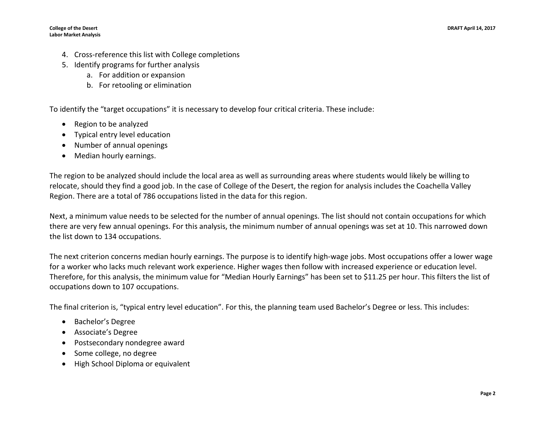- 4. Cross-reference this list with College completions
- 5. Identify programs for further analysis
	- a. For addition or expansion
	- b. For retooling or elimination

To identify the "target occupations" it is necessary to develop four critical criteria. These include:

- Region to be analyzed
- Typical entry level education
- Number of annual openings
- Median hourly earnings.

The region to be analyzed should include the local area as well as surrounding areas where students would likely be willing to relocate, should they find a good job. In the case of College of the Desert, the region for analysis includes the Coachella Valley Region. There are a total of 786 occupations listed in the data for this region.

Next, a minimum value needs to be selected for the number of annual openings. The list should not contain occupations for which there are very few annual openings. For this analysis, the minimum number of annual openings was set at 10. This narrowed down the list down to 134 occupations.

The next criterion concerns median hourly earnings. The purpose is to identify high-wage jobs. Most occupations offer a lower wage for a worker who lacks much relevant work experience. Higher wages then follow with increased experience or education level. Therefore, for this analysis, the minimum value for "Median Hourly Earnings" has been set to \$11.25 per hour. This filters the list of occupations down to 107 occupations.

The final criterion is, "typical entry level education". For this, the planning team used Bachelor's Degree or less. This includes:

- Bachelor's Degree
- Associate's Degree
- Postsecondary nondegree award
- Some college, no degree
- High School Diploma or equivalent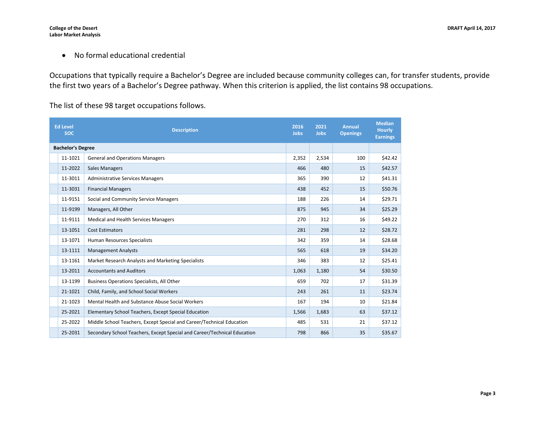• No formal educational credential

Occupations that typically require a Bachelor's Degree are included because community colleges can, for transfer students, provide the first two years of a Bachelor's Degree pathway. When this criterion is applied, the list contains 98 occupations.

The list of these 98 target occupations follows.

| <b>Ed Level</b><br><b>SOC</b> | <b>Description</b>                                                       | 2016<br>Jobs | 2021<br><b>Jobs</b> | <b>Annual</b><br><b>Openings</b> | <b>Median</b><br><b>Hourly</b><br><b>Earnings</b> |
|-------------------------------|--------------------------------------------------------------------------|--------------|---------------------|----------------------------------|---------------------------------------------------|
| <b>Bachelor's Degree</b>      |                                                                          |              |                     |                                  |                                                   |
| 11-1021                       | <b>General and Operations Managers</b>                                   | 2,352        | 2,534               | 100                              | \$42.42                                           |
| 11-2022                       | <b>Sales Managers</b>                                                    | 466          | 480                 | 15                               | \$42.57                                           |
| 11-3011                       | <b>Administrative Services Managers</b>                                  | 365          | 390                 | 12                               | \$41.31                                           |
| 11-3031                       | <b>Financial Managers</b>                                                | 438          | 452                 | 15                               | \$50.76                                           |
| 11-9151                       | Social and Community Service Managers                                    | 188          | 226                 | 14                               | \$29.71                                           |
| 11-9199                       | Managers, All Other                                                      | 875          | 945                 | 34                               | \$25.29                                           |
| 11-9111                       | Medical and Health Services Managers                                     | 270          | 312                 | 16                               | \$49.22                                           |
| 13-1051                       | <b>Cost Estimators</b>                                                   | 281          | 298                 | 12                               | \$28.72                                           |
| 13-1071                       | Human Resources Specialists                                              | 342          | 359                 | 14                               | \$28.68                                           |
| 13-1111                       | <b>Management Analysts</b>                                               | 565          | 618                 | 19                               | \$34.20                                           |
| 13-1161                       | Market Research Analysts and Marketing Specialists                       | 346          | 383                 | 12                               | \$25.41                                           |
| 13-2011                       | <b>Accountants and Auditors</b>                                          | 1,063        | 1,180               | 54                               | \$30.50                                           |
| 13-1199                       | Business Operations Specialists, All Other                               | 659          | 702                 | 17                               | \$31.39                                           |
| 21-1021                       | Child, Family, and School Social Workers                                 | 243          | 261                 | 11                               | \$23.74                                           |
| 21-1023                       | Mental Health and Substance Abuse Social Workers                         | 167          | 194                 | 10                               | \$21.84                                           |
| 25-2021                       | Elementary School Teachers, Except Special Education                     | 1,566        | 1,683               | 63                               | \$37.12                                           |
| 25-2022                       | Middle School Teachers, Except Special and Career/Technical Education    | 485          | 531                 | 21                               | \$37.12                                           |
| 25-2031                       | Secondary School Teachers, Except Special and Career/Technical Education | 798          | 866                 | 35                               | \$35.67                                           |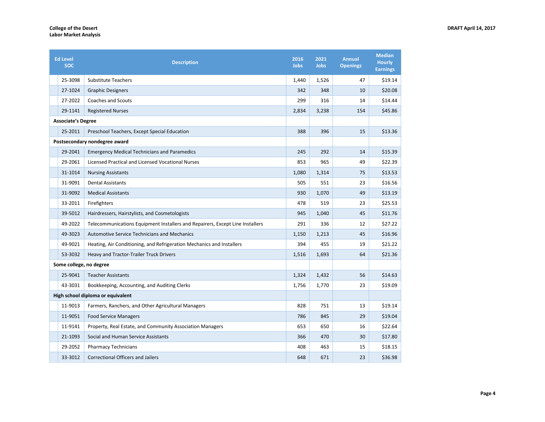| <b>Ed Level</b><br><b>SOC</b> | <b>Description</b>                                                            | 2016<br><b>Jobs</b> | 2021<br>Jobs | <b>Annual</b><br><b>Openings</b> | <b>Median</b><br><b>Hourly</b><br><b>Earnings</b> |
|-------------------------------|-------------------------------------------------------------------------------|---------------------|--------------|----------------------------------|---------------------------------------------------|
| 25-3098                       | <b>Substitute Teachers</b>                                                    | 1,440               | 1,526        | 47                               | \$19.14                                           |
| 27-1024                       | <b>Graphic Designers</b>                                                      | 342                 | 348          | 10                               | \$20.08                                           |
| 27-2022                       | <b>Coaches and Scouts</b>                                                     | 299                 | 316          | 14                               | \$14.44                                           |
| 29-1141                       | <b>Registered Nurses</b>                                                      | 2,834               | 3,238        | 154                              | \$45.86                                           |
| <b>Associate's Degree</b>     |                                                                               |                     |              |                                  |                                                   |
| 25-2011                       | Preschool Teachers, Except Special Education                                  | 388                 | 396          | 15                               | \$13.36                                           |
|                               | Postsecondary nondegree award                                                 |                     |              |                                  |                                                   |
| 29-2041                       | <b>Emergency Medical Technicians and Paramedics</b>                           | 245                 | 292          | 14                               | \$15.39                                           |
| 29-2061                       | Licensed Practical and Licensed Vocational Nurses                             | 853                 | 965          | 49                               | \$22.39                                           |
| 31-1014                       | <b>Nursing Assistants</b>                                                     | 1,080               | 1,314        | 75                               | \$13.53                                           |
| 31-9091                       | <b>Dental Assistants</b>                                                      | 505                 | 551          | 23                               | \$16.56                                           |
| 31-9092                       | <b>Medical Assistants</b>                                                     | 930                 | 1,070        | 49                               | \$13.19                                           |
| 33-2011                       | Firefighters                                                                  | 478                 | 519          | 23                               | \$25.53                                           |
| 39-5012                       | Hairdressers, Hairstylists, and Cosmetologists                                | 945                 | 1,040        | 45                               | \$11.76                                           |
| 49-2022                       | Telecommunications Equipment Installers and Repairers, Except Line Installers | 291                 | 336          | 12                               | \$27.22                                           |
| 49-3023                       | <b>Automotive Service Technicians and Mechanics</b>                           | 1,150               | 1,213        | 45                               | \$16.96                                           |
| 49-9021                       | Heating, Air Conditioning, and Refrigeration Mechanics and Installers         | 394                 | 455          | 19                               | \$21.22                                           |
| 53-3032                       | Heavy and Tractor-Trailer Truck Drivers                                       | 1,516               | 1,693        | 64                               | \$21.36                                           |
| Some college, no degree       |                                                                               |                     |              |                                  |                                                   |
| 25-9041                       | <b>Teacher Assistants</b>                                                     | 1,324               | 1,432        | 56                               | \$14.63                                           |
| 43-3031                       | Bookkeeping, Accounting, and Auditing Clerks                                  | 1,756               | 1,770        | 23                               | \$19.09                                           |
|                               | High school diploma or equivalent                                             |                     |              |                                  |                                                   |
| 11-9013                       | Farmers, Ranchers, and Other Agricultural Managers                            | 828                 | 751          | 13                               | \$19.14                                           |
| 11-9051                       | <b>Food Service Managers</b>                                                  | 786                 | 845          | 29                               | \$19.04                                           |
| 11-9141                       | Property, Real Estate, and Community Association Managers                     | 653                 | 650          | 16                               | \$22.64                                           |
| 21-1093                       | Social and Human Service Assistants                                           | 366                 | 470          | 30                               | \$17.80                                           |
| 29-2052                       | <b>Pharmacy Technicians</b>                                                   | 408                 | 463          | 15                               | \$18.15                                           |
| 33-3012                       | <b>Correctional Officers and Jailers</b>                                      | 648                 | 671          | 23                               | \$36.98                                           |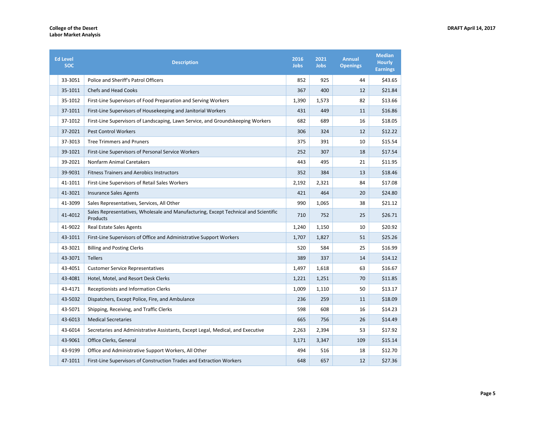| <b>Ed Level</b><br><b>SOC</b> | <b>Description</b>                                                                              | 2016<br><b>Jobs</b> | 2021<br>Jobs | <b>Annual</b><br><b>Openings</b> | <b>Median</b><br><b>Hourly</b><br><b>Earnings</b> |
|-------------------------------|-------------------------------------------------------------------------------------------------|---------------------|--------------|----------------------------------|---------------------------------------------------|
| 33-3051                       | Police and Sheriff's Patrol Officers                                                            | 852                 | 925          | 44                               | \$43.65                                           |
| 35-1011                       | <b>Chefs and Head Cooks</b>                                                                     | 367                 | 400          | 12                               | \$21.84                                           |
| 35-1012                       | First-Line Supervisors of Food Preparation and Serving Workers                                  | 1,390               | 1,573        | 82                               | \$13.66                                           |
| 37-1011                       | First-Line Supervisors of Housekeeping and Janitorial Workers                                   | 431                 | 449          | 11                               | \$16.86                                           |
| 37-1012                       | First-Line Supervisors of Landscaping, Lawn Service, and Groundskeeping Workers                 | 682                 | 689          | 16                               | \$18.05                                           |
| 37-2021                       | <b>Pest Control Workers</b>                                                                     | 306                 | 324          | 12                               | \$12.22                                           |
| 37-3013                       | <b>Tree Trimmers and Pruners</b>                                                                | 375                 | 391          | 10                               | \$15.54                                           |
| 39-1021                       | First-Line Supervisors of Personal Service Workers                                              | 252                 | 307          | 18                               | \$17.54                                           |
| 39-2021                       | Nonfarm Animal Caretakers                                                                       | 443                 | 495          | 21                               | \$11.95                                           |
| 39-9031                       | <b>Fitness Trainers and Aerobics Instructors</b>                                                | 352                 | 384          | 13                               | \$18.46                                           |
| 41-1011                       | First-Line Supervisors of Retail Sales Workers                                                  | 2,192               | 2,321        | 84                               | \$17.08                                           |
| 41-3021                       | <b>Insurance Sales Agents</b>                                                                   | 421                 | 464          | 20                               | \$24.80                                           |
| 41-3099                       | Sales Representatives, Services, All Other                                                      | 990                 | 1,065        | 38                               | \$21.12                                           |
| 41-4012                       | Sales Representatives, Wholesale and Manufacturing, Except Technical and Scientific<br>Products | 710                 | 752          | 25                               | \$26.71                                           |
| 41-9022                       | Real Estate Sales Agents                                                                        | 1,240               | 1,150        | 10                               | \$20.92                                           |
| 43-1011                       | First-Line Supervisors of Office and Administrative Support Workers                             | 1,707               | 1,827        | 51                               | \$25.26                                           |
| 43-3021                       | <b>Billing and Posting Clerks</b>                                                               | 520                 | 584          | 25                               | \$16.99                                           |
| 43-3071                       | <b>Tellers</b>                                                                                  | 389                 | 337          | 14                               | \$14.12                                           |
| 43-4051                       | <b>Customer Service Representatives</b>                                                         | 1,497               | 1,618        | 63                               | \$16.67                                           |
| 43-4081                       | Hotel, Motel, and Resort Desk Clerks                                                            | 1,221               | 1,251        | 70                               | \$11.85                                           |
| 43-4171                       | <b>Receptionists and Information Clerks</b>                                                     | 1,009               | 1,110        | 50                               | \$13.17                                           |
| 43-5032                       | Dispatchers, Except Police, Fire, and Ambulance                                                 | 236                 | 259          | 11                               | \$18.09                                           |
| 43-5071                       | Shipping, Receiving, and Traffic Clerks                                                         | 598                 | 608          | 16                               | \$14.23                                           |
| 43-6013                       | <b>Medical Secretaries</b>                                                                      | 665                 | 756          | 26                               | \$14.49                                           |
| 43-6014                       | Secretaries and Administrative Assistants, Except Legal, Medical, and Executive                 | 2,263               | 2,394        | 53                               | \$17.92                                           |
| 43-9061                       | Office Clerks, General                                                                          | 3,171               | 3,347        | 109                              | \$15.14                                           |
| 43-9199                       | Office and Administrative Support Workers, All Other                                            | 494                 | 516          | 18                               | \$12.70                                           |
| 47-1011                       | First-Line Supervisors of Construction Trades and Extraction Workers                            | 648                 | 657          | 12                               | \$27.36                                           |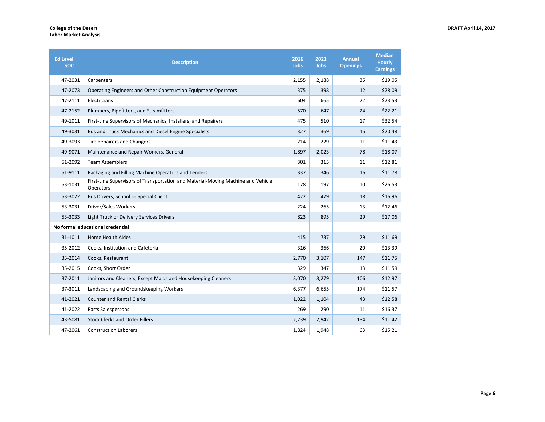| <b>Ed Level</b><br><b>SOC</b> | <b>Description</b>                                                                            | 2016<br>Jobs | 2021<br>Jobs | <b>Annual</b><br><b>Openings</b> | <b>Median</b><br><b>Hourly</b><br><b>Earnings</b> |
|-------------------------------|-----------------------------------------------------------------------------------------------|--------------|--------------|----------------------------------|---------------------------------------------------|
| 47-2031                       | Carpenters                                                                                    | 2,155        | 2,188        | 35                               | \$19.05                                           |
| 47-2073                       | Operating Engineers and Other Construction Equipment Operators                                | 375          | 398          | 12                               | \$28.09                                           |
| 47-2111                       | Electricians                                                                                  | 604          | 665          | 22                               | \$23.53                                           |
| 47-2152                       | Plumbers, Pipefitters, and Steamfitters                                                       | 570          | 647          | 24                               | \$22.21                                           |
| 49-1011                       | First-Line Supervisors of Mechanics, Installers, and Repairers                                | 475          | 510          | 17                               | \$32.54                                           |
| 49-3031                       | Bus and Truck Mechanics and Diesel Engine Specialists                                         | 327          | 369          | 15                               | \$20.48                                           |
| 49-3093                       | <b>Tire Repairers and Changers</b>                                                            | 214          | 229          | 11                               | \$11.43                                           |
| 49-9071                       | Maintenance and Repair Workers, General                                                       | 1,897        | 2,023        | 78                               | \$18.07                                           |
| 51-2092                       | <b>Team Assemblers</b>                                                                        | 301          | 315          | 11                               | \$12.81                                           |
| 51-9111                       | Packaging and Filling Machine Operators and Tenders                                           | 337          | 346          | 16                               | \$11.78                                           |
| 53-1031                       | First-Line Supervisors of Transportation and Material-Moving Machine and Vehicle<br>Operators | 178          | 197          | 10                               | \$26.53                                           |
| 53-3022                       | Bus Drivers, School or Special Client                                                         | 422          | 479          | 18                               | \$16.96                                           |
| 53-3031                       | Driver/Sales Workers                                                                          | 224          | 265          | 13                               | \$12.46                                           |
| 53-3033                       | Light Truck or Delivery Services Drivers                                                      | 823          | 895          | 29                               | \$17.06                                           |
|                               | No formal educational credential                                                              |              |              |                                  |                                                   |
| 31-1011                       | <b>Home Health Aides</b>                                                                      | 415          | 737          | 79                               | \$11.69                                           |
| 35-2012                       | Cooks, Institution and Cafeteria                                                              | 316          | 366          | 20                               | \$13.39                                           |
| 35-2014                       | Cooks, Restaurant                                                                             | 2,770        | 3,107        | 147                              | \$11.75                                           |
| 35-2015                       | Cooks, Short Order                                                                            | 329          | 347          | 13                               | \$11.59                                           |
| 37-2011                       | Janitors and Cleaners, Except Maids and Housekeeping Cleaners                                 | 3,070        | 3,279        | 106                              | \$12.97                                           |
| 37-3011                       | Landscaping and Groundskeeping Workers                                                        | 6,377        | 6,655        | 174                              | \$11.57                                           |
| 41-2021                       | <b>Counter and Rental Clerks</b>                                                              | 1,022        | 1,104        | 43                               | \$12.58                                           |
| 41-2022                       | Parts Salespersons                                                                            | 269          | 290          | 11                               | \$16.37                                           |
| 43-5081                       | <b>Stock Clerks and Order Fillers</b>                                                         | 2,739        | 2,942        | 134                              | \$11.42                                           |
| 47-2061                       | <b>Construction Laborers</b>                                                                  | 1,824        | 1,948        | 63                               | \$15.21                                           |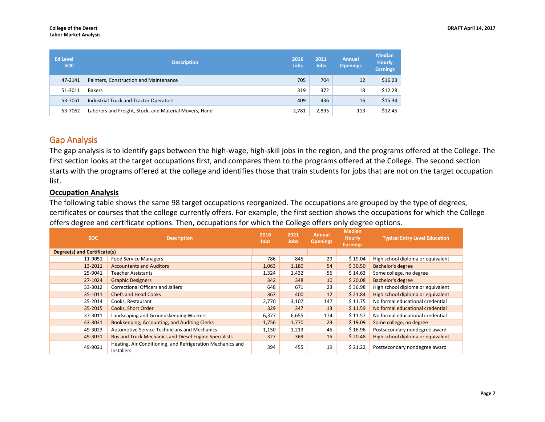| <b>Ed Level</b><br><b>SOC</b> |         | <b>Description</b>                                     | 2016<br>Jobs | 2021<br><b>Jobs</b> | <b>Annual</b><br><b>Openings</b> | <b>Median</b><br><b>Hourly</b><br><b>Earnings</b> |
|-------------------------------|---------|--------------------------------------------------------|--------------|---------------------|----------------------------------|---------------------------------------------------|
|                               | 47-2141 | Painters, Construction and Maintenance                 | 705          | 704                 | 12                               | \$16.23                                           |
|                               | 51-3011 | <b>Bakers</b>                                          | 319          | 372                 | 18                               | \$12.28                                           |
|                               | 53-7051 | Industrial Truck and Tractor Operators                 | 409          | 436                 | 16                               | \$15.34                                           |
|                               | 53-7062 | Laborers and Freight, Stock, and Material Movers, Hand | 2.781        | 2,895               | 113                              | \$12.45                                           |

## Gap Analysis

The gap analysis is to identify gaps between the high-wage, high-skill jobs in the region, and the programs offered at the College. The first section looks at the target occupations first, and compares them to the programs offered at the College. The second section starts with the programs offered at the college and identifies those that train students for jobs that are not on the target occupation list.

## **Occupation Analysis**

The following table shows the same 98 target occupations reorganized. The occupations are grouped by the type of degrees, certificates or courses that the college currently offers. For example, the first section shows the occupations for which the College offers degree and certificate options. Then, occupations for which the College offers only degree options.

| <b>SOC</b><br><b>Description</b> |                                                                                 | 2016<br><b>Jobs</b> | 2021<br><b>Jobs</b> | <b>Annual</b><br><b>Openings</b> | <b>Median</b><br>Hourly<br><b>Earnings</b> | <b>Typical Entry Level Education</b> |
|----------------------------------|---------------------------------------------------------------------------------|---------------------|---------------------|----------------------------------|--------------------------------------------|--------------------------------------|
| Degree(s) and Certificate(s)     |                                                                                 |                     |                     |                                  |                                            |                                      |
| 11-9051                          | <b>Food Service Managers</b>                                                    | 786                 | 845                 | 29                               | \$19.04                                    | High school diploma or equivalent    |
| 13-2011                          | <b>Accountants and Auditors</b>                                                 | 1,063               | 1,180               | 54                               | \$30.50                                    | Bachelor's degree                    |
| 25-9041                          | <b>Teacher Assistants</b>                                                       | 1,324               | 1,432               | 56                               | \$14.63                                    | Some college, no degree              |
| 27-1024                          | <b>Graphic Designers</b>                                                        | 342                 | 348                 | 10                               | \$20.08                                    | Bachelor's degree                    |
| 33-3012                          | Correctional Officers and Jailers                                               | 648                 | 671                 | 23                               | \$36.98                                    | High school diploma or equivalent    |
| 35-1011                          | <b>Chefs and Head Cooks</b>                                                     | 367                 | 400                 | 12                               | \$21.84                                    | High school diploma or equivalent    |
| 35-2014                          | Cooks, Restaurant                                                               | 2,770               | 3,107               | 147                              | \$11.75                                    | No formal educational credential     |
| 35-2015                          | Cooks, Short Order                                                              | 329                 | 347                 | 13                               | \$11.59                                    | No formal educational credential     |
| 37-3011                          | Landscaping and Groundskeeping Workers                                          | 6,377               | 6,655               | 174                              | \$11.57                                    | No formal educational credential     |
| 43-3031                          | Bookkeeping, Accounting, and Auditing Clerks                                    | 1,756               | 1,770               | 23                               | \$19.09                                    | Some college, no degree              |
| 49-3023                          | Automotive Service Technicians and Mechanics                                    | 1,150               | 1,213               | 45                               | \$16.96                                    | Postsecondary nondegree award        |
| 49-3031                          | <b>Bus and Truck Mechanics and Diesel Engine Specialists</b>                    | 327                 | 369                 | 15                               | \$20.48                                    | High school diploma or equivalent    |
| 49-9021                          | Heating, Air Conditioning, and Refrigeration Mechanics and<br><b>Installers</b> | 394                 | 455                 | 19                               | \$21.22                                    | Postsecondary nondegree award        |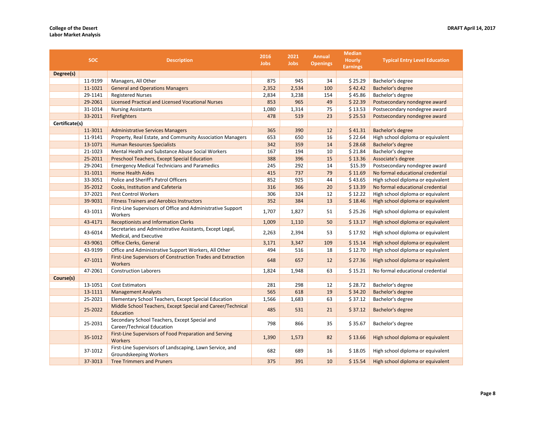|                | <b>SOC</b> | <b>Description</b>                                                                 | 2016<br><b>Jobs</b> | 2021<br><b>Jobs</b> | <b>Annual</b><br><b>Openings</b> | <b>Median</b><br><b>Hourly</b><br><b>Earnings</b> | <b>Typical Entry Level Education</b> |
|----------------|------------|------------------------------------------------------------------------------------|---------------------|---------------------|----------------------------------|---------------------------------------------------|--------------------------------------|
| Degree(s)      |            |                                                                                    |                     |                     |                                  |                                                   |                                      |
|                | 11-9199    | Managers, All Other                                                                | 875                 | 945                 | 34                               | \$25.29                                           | Bachelor's degree                    |
|                | 11-1021    | <b>General and Operations Managers</b>                                             | 2,352               | 2,534               | 100                              | \$42.42                                           | Bachelor's degree                    |
|                | 29-1141    | <b>Registered Nurses</b>                                                           | 2,834               | 3,238               | 154                              | \$45.86                                           | Bachelor's degree                    |
|                | 29-2061    | <b>Licensed Practical and Licensed Vocational Nurses</b>                           |                     | 965                 | 49                               | \$22.39                                           | Postsecondary nondegree award        |
|                | 31-1014    | <b>Nursing Assistants</b>                                                          |                     | 1,314               | 75                               | \$13.53                                           | Postsecondary nondegree award        |
|                | 33-2011    | <b>Firefighters</b>                                                                |                     | 519                 | 23                               | \$25.53                                           | Postsecondary nondegree award        |
| Certificate(s) |            |                                                                                    |                     |                     |                                  |                                                   |                                      |
|                | 11-3011    | <b>Administrative Services Managers</b>                                            | 365                 | 390                 | 12                               | \$41.31                                           | Bachelor's degree                    |
|                | 11-9141    | Property, Real Estate, and Community Association Managers                          | 653                 | 650                 | 16                               | \$22.64                                           | High school diploma or equivalent    |
|                | 13-1071    | <b>Human Resources Specialists</b>                                                 | 342                 | 359                 | 14                               | \$28.68                                           | Bachelor's degree                    |
|                | 21-1023    | Mental Health and Substance Abuse Social Workers                                   | 167                 | 194                 | 10                               | \$21.84                                           | Bachelor's degree                    |
|                | 25-2011    | <b>Preschool Teachers, Except Special Education</b>                                | 388                 | 396                 | 15                               | \$13.36                                           | Associate's degree                   |
|                | 29-2041    | <b>Emergency Medical Technicians and Paramedics</b>                                | 245                 | 292                 | 14                               | \$15.39                                           | Postsecondary nondegree award        |
|                | 31-1011    | <b>Home Health Aides</b>                                                           | 415                 | 737                 | 79                               | \$11.69                                           | No formal educational credential     |
|                | 33-3051    | Police and Sheriff's Patrol Officers                                               | 852                 | 925                 | 44                               | \$43.65                                           | High school diploma or equivalent    |
|                | 35-2012    | Cooks, Institution and Cafeteria                                                   | 316                 | 366                 | 20                               | \$13.39                                           | No formal educational credential     |
|                | 37-2021    | <b>Pest Control Workers</b>                                                        | 306                 | 324                 | 12                               | \$12.22                                           | High school diploma or equivalent    |
|                | 39-9031    | <b>Fitness Trainers and Aerobics Instructors</b>                                   | 352                 | 384                 | 13                               | \$18.46                                           | High school diploma or equivalent    |
|                | 43-1011    | First-Line Supervisors of Office and Administrative Support<br>Workers             | 1,707               | 1,827               | 51                               | \$25.26                                           | High school diploma or equivalent    |
|                | 43-4171    | <b>Receptionists and Information Clerks</b>                                        | 1,009               | 1,110               | 50                               | \$13.17                                           | High school diploma or equivalent    |
|                | 43-6014    | Secretaries and Administrative Assistants, Except Legal,<br>Medical, and Executive | 2,263               | 2,394               | 53                               | \$17.92                                           | High school diploma or equivalent    |
|                | 43-9061    | Office Clerks, General                                                             | 3,171               | 3,347               | 109                              | \$15.14                                           | High school diploma or equivalent    |
|                | 43-9199    | Office and Administrative Support Workers, All Other                               | 494                 | 516                 | 18                               | \$12.70                                           | High school diploma or equivalent    |
|                | 47-1011    | First-Line Supervisors of Construction Trades and Extraction<br><b>Workers</b>     | 648                 | 657                 | 12                               | \$27.36                                           | High school diploma or equivalent    |
|                | 47-2061    | <b>Construction Laborers</b>                                                       | 1,824               | 1,948               | 63                               | \$15.21                                           | No formal educational credential     |
| Course(s)      |            |                                                                                    |                     |                     |                                  |                                                   |                                      |
|                | 13-1051    | <b>Cost Estimators</b>                                                             | 281                 | 298                 | 12                               | \$28.72                                           | Bachelor's degree                    |
|                | 13-1111    | <b>Management Analysts</b>                                                         | 565                 | 618                 | 19                               | \$34.20                                           | Bachelor's degree                    |
|                | 25-2021    | Elementary School Teachers, Except Special Education                               | 1,566               | 1,683               | 63                               | \$37.12                                           | Bachelor's degree                    |
|                | 25-2022    | Middle School Teachers, Except Special and Career/Technical<br>Education           | 485                 | 531                 | 21                               | \$37.12                                           | Bachelor's degree                    |
|                | 25-2031    | Secondary School Teachers, Except Special and<br>Career/Technical Education        | 798                 | 866                 | 35                               | \$35.67                                           | Bachelor's degree                    |
|                | 35-1012    | First-Line Supervisors of Food Preparation and Serving<br><b>Workers</b>           | 1,390               | 1,573               | 82                               | \$13.66                                           | High school diploma or equivalent    |
|                | 37-1012    | First-Line Supervisors of Landscaping, Lawn Service, and<br>Groundskeeping Workers | 682                 | 689                 | 16                               | \$18.05                                           | High school diploma or equivalent    |
|                | 37-3013    | <b>Tree Trimmers and Pruners</b>                                                   | 375                 | 391                 | 10                               | \$15.54                                           | High school diploma or equivalent    |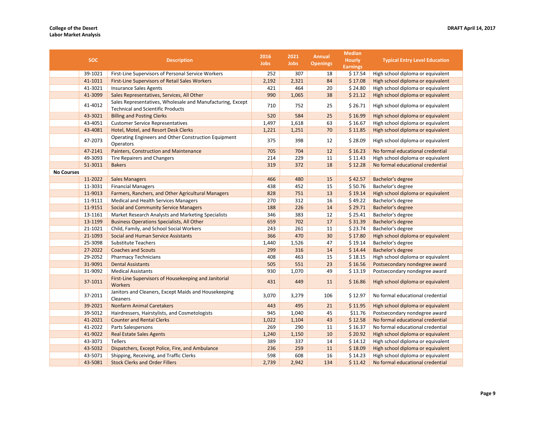|                   | <b>SOC</b> | <b>Description</b>                                                                                     |             | 2021<br><b>Jobs</b> | <b>Annual</b><br><b>Openings</b> | <b>Median</b><br><b>Hourly</b> | <b>Typical Entry Level Education</b> |
|-------------------|------------|--------------------------------------------------------------------------------------------------------|-------------|---------------------|----------------------------------|--------------------------------|--------------------------------------|
|                   |            |                                                                                                        | <b>Jobs</b> |                     |                                  | <b>Earnings</b>                |                                      |
|                   | 39-1021    | First-Line Supervisors of Personal Service Workers                                                     | 252         | 307                 | 18                               | \$17.54                        | High school diploma or equivalent    |
|                   | 41-1011    | <b>First-Line Supervisors of Retail Sales Workers</b>                                                  | 2,192       | 2,321               | 84                               | \$17.08                        | High school diploma or equivalent    |
|                   | 41-3021    | <b>Insurance Sales Agents</b>                                                                          | 421         | 464                 | 20                               | \$24.80                        | High school diploma or equivalent    |
|                   | 41-3099    | Sales Representatives, Services, All Other                                                             | 990         | 1,065               | 38                               | \$21.12                        | High school diploma or equivalent    |
|                   | 41-4012    | Sales Representatives, Wholesale and Manufacturing, Except<br><b>Technical and Scientific Products</b> | 710         | 752                 | 25                               | \$26.71                        | High school diploma or equivalent    |
|                   | 43-3021    | <b>Billing and Posting Clerks</b>                                                                      | 520         | 584                 | 25                               | \$16.99                        | High school diploma or equivalent    |
|                   | 43-4051    | <b>Customer Service Representatives</b>                                                                | 1,497       | 1,618               | 63                               | \$16.67                        | High school diploma or equivalent    |
|                   | 43-4081    | Hotel, Motel, and Resort Desk Clerks                                                                   | 1,221       | 1,251               | 70                               | \$11.85                        | High school diploma or equivalent    |
|                   | 47-2073    | Operating Engineers and Other Construction Equipment<br>Operators                                      | 375         | 398                 | 12                               | \$28.09                        | High school diploma or equivalent    |
|                   | 47-2141    | Painters, Construction and Maintenance                                                                 | 705         | 704                 | 12                               | \$16.23                        | No formal educational credential     |
|                   | 49-3093    | Tire Repairers and Changers                                                                            | 214         | 229                 | 11                               | \$11.43                        | High school diploma or equivalent    |
|                   | 51-3011    | <b>Bakers</b>                                                                                          | 319         | 372                 | 18                               | \$12.28                        | No formal educational credential     |
| <b>No Courses</b> |            |                                                                                                        |             |                     |                                  |                                |                                      |
|                   | 11-2022    | <b>Sales Managers</b>                                                                                  | 466         | 480                 | 15                               | \$42.57                        | Bachelor's degree                    |
|                   | 11-3031    | <b>Financial Managers</b>                                                                              | 438         | 452                 | 15                               | \$50.76                        | Bachelor's degree                    |
|                   | 11-9013    | Farmers, Ranchers, and Other Agricultural Managers                                                     | 828         | 751                 | 13                               | \$19.14                        | High school diploma or equivalent    |
|                   | 11-9111    | Medical and Health Services Managers                                                                   | 270         | 312                 | 16                               | \$49.22                        | Bachelor's degree                    |
|                   | 11-9151    | <b>Social and Community Service Managers</b>                                                           | 188         | 226                 | 14                               | \$29.71                        | Bachelor's degree                    |
|                   | 13-1161    | Market Research Analysts and Marketing Specialists                                                     | 346         | 383                 | 12                               | \$25.41                        | Bachelor's degree                    |
|                   | 13-1199    | <b>Business Operations Specialists, All Other</b>                                                      | 659         | 702                 | 17                               | \$31.39                        | Bachelor's degree                    |
|                   | 21-1021    | Child, Family, and School Social Workers                                                               | 243         | 261                 | 11                               | \$23.74                        | Bachelor's degree                    |
|                   | 21-1093    | Social and Human Service Assistants                                                                    | 366         | 470                 | 30                               | \$17.80                        | High school diploma or equivalent    |
|                   | 25-3098    | <b>Substitute Teachers</b>                                                                             | 1,440       | 1,526               | 47                               | \$19.14                        | Bachelor's degree                    |
|                   | 27-2022    | <b>Coaches and Scouts</b>                                                                              | 299         | 316                 | 14                               | \$14.44                        | Bachelor's degree                    |
|                   | 29-2052    | <b>Pharmacy Technicians</b>                                                                            | 408         | 463                 | 15                               | \$18.15                        | High school diploma or equivalent    |
|                   | 31-9091    | <b>Dental Assistants</b>                                                                               | 505         | 551                 | 23                               | \$16.56                        | Postsecondary nondegree award        |
|                   | 31-9092    | <b>Medical Assistants</b>                                                                              | 930         | 1,070               | 49                               | \$13.19                        | Postsecondary nondegree award        |
|                   | 37-1011    | First-Line Supervisors of Housekeeping and Janitorial<br>Workers                                       | 431         | 449                 | 11                               | \$16.86                        | High school diploma or equivalent    |
|                   | 37-2011    | Janitors and Cleaners, Except Maids and Housekeeping<br>Cleaners                                       | 3,070       | 3,279               | 106                              | \$12.97                        | No formal educational credential     |
|                   | 39-2021    | <b>Nonfarm Animal Caretakers</b>                                                                       | 443         | 495                 | 21                               | \$11.95                        | High school diploma or equivalent    |
|                   | 39-5012    | Hairdressers, Hairstylists, and Cosmetologists                                                         | 945         | 1,040               | 45                               | \$11.76                        | Postsecondary nondegree award        |
|                   | 41-2021    | <b>Counter and Rental Clerks</b>                                                                       | 1,022       | 1,104               | 43                               | \$12.58                        | No formal educational credential     |
|                   | 41-2022    | Parts Salespersons                                                                                     | 269         | 290                 | 11                               | \$16.37                        | No formal educational credential     |
|                   | 41-9022    | <b>Real Estate Sales Agents</b>                                                                        | 1,240       | 1,150               | 10                               | \$20.92                        | High school diploma or equivalent    |
|                   | 43-3071    | Tellers                                                                                                | 389         | 337                 | 14                               | \$14.12                        | High school diploma or equivalent    |
|                   | 43-5032    | Dispatchers, Except Police, Fire, and Ambulance                                                        | 236         | 259                 | 11                               | \$18.09                        | High school diploma or equivalent    |
|                   | 43-5071    | Shipping, Receiving, and Traffic Clerks                                                                | 598         | 608                 | 16                               | \$14.23                        | High school diploma or equivalent    |
|                   | 43-5081    | <b>Stock Clerks and Order Fillers</b>                                                                  | 2,739       | 2,942               | 134                              | \$11.42                        | No formal educational credential     |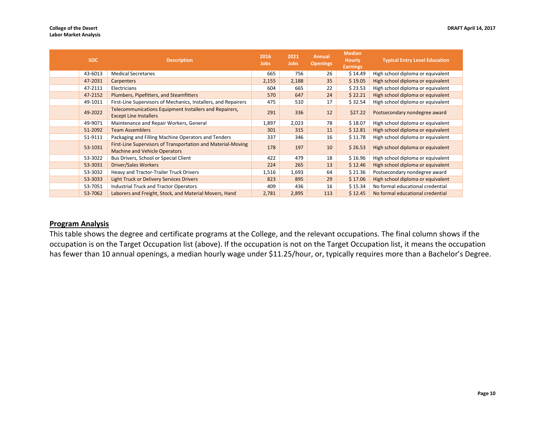| <b>SOC</b> | <b>Description</b>                                                                                   | 2016<br><b>Jobs</b> | 2021<br>Jobs | <b>Annual</b><br><b>Openings</b> | <b>Median</b><br><b>Hourly</b><br><b>Earnings</b> | <b>Typical Entry Level Education</b> |
|------------|------------------------------------------------------------------------------------------------------|---------------------|--------------|----------------------------------|---------------------------------------------------|--------------------------------------|
| 43-6013    | <b>Medical Secretaries</b>                                                                           | 665                 | 756          | 26                               | \$14.49                                           | High school diploma or equivalent    |
| 47-2031    | Carpenters                                                                                           | 2,155               | 2,188        | 35                               | \$19.05                                           | High school diploma or equivalent    |
| 47-2111    | Electricians                                                                                         | 604                 | 665          | 22                               | \$23.53                                           | High school diploma or equivalent    |
| 47-2152    | Plumbers, Pipefitters, and Steamfitters                                                              | 570                 | 647          | 24                               | \$22.21                                           | High school diploma or equivalent    |
| 49-1011    | First-Line Supervisors of Mechanics, Installers, and Repairers                                       | 475                 | 510          | 17                               | \$32.54                                           | High school diploma or equivalent    |
| 49-2022    | Telecommunications Equipment Installers and Repairers,<br><b>Except Line Installers</b>              | 291                 | 336          | 12                               | \$27.22                                           | Postsecondary nondegree award        |
| 49-9071    | Maintenance and Repair Workers, General                                                              | 1,897               | 2,023        | 78                               | \$18.07                                           | High school diploma or equivalent    |
| 51-2092    | <b>Team Assemblers</b>                                                                               | 301                 | 315          | 11                               | \$12.81                                           | High school diploma or equivalent    |
| 51-9111    | Packaging and Filling Machine Operators and Tenders                                                  | 337                 | 346          | 16                               | \$11.78                                           | High school diploma or equivalent    |
| 53-1031    | First-Line Supervisors of Transportation and Material-Moving<br><b>Machine and Vehicle Operators</b> | 178                 | 197          | 10                               | \$26.53                                           | High school diploma or equivalent    |
| 53-3022    | Bus Drivers, School or Special Client                                                                | 422                 | 479          | 18                               | \$16.96                                           | High school diploma or equivalent    |
| 53-3031    | <b>Driver/Sales Workers</b>                                                                          | 224                 | 265          | 13                               | \$12.46                                           | High school diploma or equivalent    |
| 53-3032    | Heavy and Tractor-Trailer Truck Drivers                                                              | 1,516               | 1,693        | 64                               | \$21.36                                           | Postsecondary nondegree award        |
| 53-3033    | Light Truck or Delivery Services Drivers                                                             | 823                 | 895          | 29                               | \$17.06                                           | High school diploma or equivalent    |
| 53-7051    | Industrial Truck and Tractor Operators                                                               | 409                 | 436          | 16                               | \$15.34                                           | No formal educational credential     |
| 53-7062    | Laborers and Freight, Stock, and Material Movers, Hand                                               | 2,781               | 2,895        | 113                              | \$12.45                                           | No formal educational credential     |

## **Program Analysis**

This table shows the degree and certificate programs at the College, and the relevant occupations. The final column shows if the occupation is on the Target Occupation list (above). If the occupation is not on the Target Occupation list, it means the occupation has fewer than 10 annual openings, a median hourly wage under \$11.25/hour, or, typically requires more than a Bachelor's Degree.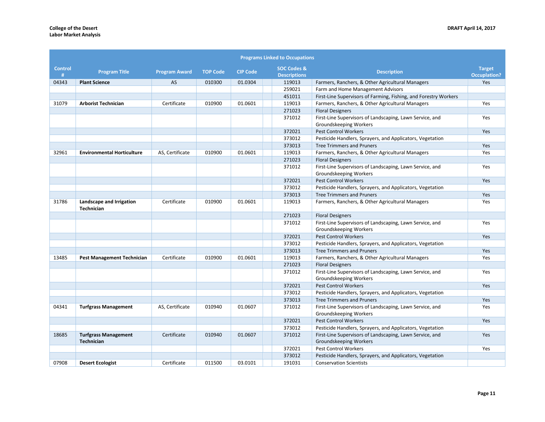|                     |                                                  |                      |                 |                 | <b>Programs Linked to Occupations</b>         |                                                                                    |                                      |
|---------------------|--------------------------------------------------|----------------------|-----------------|-----------------|-----------------------------------------------|------------------------------------------------------------------------------------|--------------------------------------|
| <b>Control</b><br># | <b>Program Title</b>                             | <b>Program Award</b> | <b>TOP Code</b> | <b>CIP Code</b> | <b>SOC Codes &amp;</b><br><b>Descriptions</b> | <b>Description</b>                                                                 | <b>Target</b><br><b>Occuplation?</b> |
| 04343               | <b>Plant Science</b>                             | <b>AS</b>            | 010300          | 01.0304         | 119013                                        | Farmers, Ranchers, & Other Agricultural Managers                                   | Yes                                  |
|                     |                                                  |                      |                 |                 | 259021                                        | Farm and Home Management Advisors                                                  |                                      |
|                     |                                                  |                      |                 |                 | 451011                                        | First-Line Supervisors of Farming, Fishing, and Forestry Workers                   |                                      |
| 31079               | <b>Arborist Technician</b>                       | Certificate          | 010900          | 01.0601         | 119013                                        | Farmers, Ranchers, & Other Agricultural Managers                                   | Yes                                  |
|                     |                                                  |                      |                 |                 | 271023                                        | <b>Floral Designers</b>                                                            |                                      |
|                     |                                                  |                      |                 |                 | 371012                                        | First-Line Supervisors of Landscaping, Lawn Service, and<br>Groundskeeping Workers | Yes                                  |
|                     |                                                  |                      |                 |                 | 372021                                        | <b>Pest Control Workers</b>                                                        | Yes                                  |
|                     |                                                  |                      |                 |                 | 373012                                        | Pesticide Handlers, Sprayers, and Applicators, Vegetation                          |                                      |
|                     |                                                  |                      |                 |                 | 373013                                        | <b>Tree Trimmers and Pruners</b>                                                   | Yes                                  |
| 32961               | <b>Environmental Horticulture</b>                | AS, Certificate      | 010900          | 01.0601         | 119013                                        | Farmers, Ranchers, & Other Agricultural Managers                                   | Yes                                  |
|                     |                                                  |                      |                 |                 | 271023                                        | <b>Floral Designers</b>                                                            |                                      |
|                     |                                                  |                      |                 |                 | 371012                                        | First-Line Supervisors of Landscaping, Lawn Service, and<br>Groundskeeping Workers | Yes                                  |
|                     |                                                  |                      |                 |                 | 372021                                        | <b>Pest Control Workers</b>                                                        | Yes                                  |
|                     |                                                  |                      |                 |                 | 373012                                        | Pesticide Handlers, Sprayers, and Applicators, Vegetation                          |                                      |
|                     |                                                  |                      |                 |                 | 373013                                        | <b>Tree Trimmers and Pruners</b>                                                   | Yes                                  |
| 31786               | Landscape and Irrigation<br><b>Technician</b>    | Certificate          | 010900          | 01.0601         | 119013                                        | Farmers, Ranchers, & Other Agricultural Managers                                   | Yes                                  |
|                     |                                                  |                      |                 |                 | 271023                                        | <b>Floral Designers</b>                                                            |                                      |
|                     |                                                  |                      |                 |                 | 371012                                        | First-Line Supervisors of Landscaping, Lawn Service, and<br>Groundskeeping Workers | Yes                                  |
|                     |                                                  |                      |                 |                 | 372021                                        | <b>Pest Control Workers</b>                                                        | Yes                                  |
|                     |                                                  |                      |                 |                 | 373012                                        | Pesticide Handlers, Sprayers, and Applicators, Vegetation                          |                                      |
|                     |                                                  |                      |                 |                 | 373013                                        | <b>Tree Trimmers and Pruners</b>                                                   | Yes                                  |
| 13485               | <b>Pest Management Technician</b>                | Certificate          | 010900          | 01.0601         | 119013                                        | Farmers, Ranchers, & Other Agricultural Managers                                   | Yes                                  |
|                     |                                                  |                      |                 |                 | 271023                                        | <b>Floral Designers</b>                                                            |                                      |
|                     |                                                  |                      |                 |                 | 371012                                        | First-Line Supervisors of Landscaping, Lawn Service, and<br>Groundskeeping Workers | Yes                                  |
|                     |                                                  |                      |                 |                 | 372021                                        | <b>Pest Control Workers</b>                                                        | Yes                                  |
|                     |                                                  |                      |                 |                 | 373012                                        | Pesticide Handlers, Sprayers, and Applicators, Vegetation                          |                                      |
|                     |                                                  |                      |                 |                 | 373013                                        | <b>Tree Trimmers and Pruners</b>                                                   | Yes                                  |
| 04341               | <b>Turfgrass Management</b>                      | AS, Certificate      | 010940          | 01.0607         | 371012                                        | First-Line Supervisors of Landscaping, Lawn Service, and<br>Groundskeeping Workers | Yes                                  |
|                     |                                                  |                      |                 |                 | 372021                                        | <b>Pest Control Workers</b>                                                        | Yes                                  |
|                     |                                                  |                      |                 |                 | 373012                                        | Pesticide Handlers, Sprayers, and Applicators, Vegetation                          |                                      |
| 18685               | <b>Turfgrass Management</b><br><b>Technician</b> | Certificate          | 010940          | 01.0607         | 371012                                        | First-Line Supervisors of Landscaping, Lawn Service, and<br>Groundskeeping Workers | Yes                                  |
|                     |                                                  |                      |                 |                 | 372021                                        | Pest Control Workers                                                               | Yes                                  |
|                     |                                                  |                      |                 |                 | 373012                                        | Pesticide Handlers, Sprayers, and Applicators, Vegetation                          |                                      |
| 07908               | <b>Desert Ecologist</b>                          | Certificate          | 011500          | 03.0101         | 191031                                        | <b>Conservation Scientists</b>                                                     |                                      |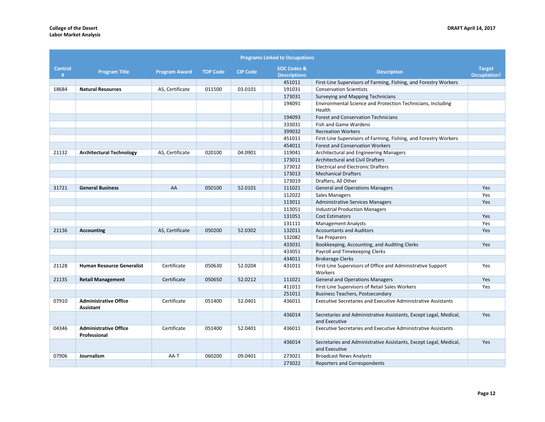| <b>Programs Linked to Occupations</b> |                                              |                      |                 |                 |                                               |                                                                                    |                                      |  |  |  |  |  |
|---------------------------------------|----------------------------------------------|----------------------|-----------------|-----------------|-----------------------------------------------|------------------------------------------------------------------------------------|--------------------------------------|--|--|--|--|--|
| <b>Control</b><br>#                   | <b>Program Title</b>                         | <b>Program Award</b> | <b>TOP Code</b> | <b>CIP Code</b> | <b>SOC Codes &amp;</b><br><b>Descriptions</b> | <b>Description</b>                                                                 | <b>Target</b><br><b>Occuplation?</b> |  |  |  |  |  |
|                                       |                                              |                      |                 |                 | 451011                                        | First-Line Supervisors of Farming, Fishing, and Forestry Workers                   |                                      |  |  |  |  |  |
| 18684                                 | <b>Natural Resources</b>                     | AS, Certificate      | 011500          | 03.0101         | 191031                                        | <b>Conservation Scientists</b>                                                     |                                      |  |  |  |  |  |
|                                       |                                              |                      |                 |                 | 173031                                        | Surveying and Mapping Technicians                                                  |                                      |  |  |  |  |  |
|                                       |                                              |                      |                 |                 | 194091                                        | Environmental Science and Protection Technicians, Including<br>Health              |                                      |  |  |  |  |  |
|                                       |                                              |                      |                 |                 | 194093                                        | <b>Forest and Conservation Technicians</b>                                         |                                      |  |  |  |  |  |
|                                       |                                              |                      |                 |                 | 333031                                        | Fish and Game Wardens                                                              |                                      |  |  |  |  |  |
|                                       |                                              |                      |                 |                 | 399032                                        | <b>Recreation Workers</b>                                                          |                                      |  |  |  |  |  |
|                                       |                                              |                      |                 |                 | 451011                                        | First-Line Supervisors of Farming, Fishing, and Forestry Workers                   |                                      |  |  |  |  |  |
|                                       |                                              |                      |                 |                 | 454011                                        | <b>Forest and Conservation Workers</b>                                             |                                      |  |  |  |  |  |
| 21132                                 | <b>Architectural Technology</b>              | AS, Certificate      | 020100          | 04.0901         | 119041                                        | Architectural and Engineering Managers                                             |                                      |  |  |  |  |  |
|                                       |                                              |                      |                 |                 | 173011                                        | <b>Architectural and Civil Drafters</b>                                            |                                      |  |  |  |  |  |
|                                       |                                              |                      |                 |                 | 173012                                        | <b>Electrical and Electronic Drafters</b>                                          |                                      |  |  |  |  |  |
|                                       |                                              |                      |                 |                 | 173013                                        | <b>Mechanical Drafters</b>                                                         |                                      |  |  |  |  |  |
|                                       |                                              |                      |                 |                 | 173019                                        | Drafters, All Other                                                                |                                      |  |  |  |  |  |
| 31721                                 | <b>General Business</b>                      | AA                   | 050100          | 52.0101         | 111021                                        | <b>General and Operations Managers</b>                                             | Yes                                  |  |  |  |  |  |
|                                       |                                              |                      |                 |                 | 112022                                        | Sales Managers                                                                     | Yes                                  |  |  |  |  |  |
|                                       |                                              |                      |                 |                 | 113011                                        | <b>Administrative Services Managers</b>                                            | Yes                                  |  |  |  |  |  |
|                                       |                                              |                      |                 |                 | 113051                                        | <b>Industrial Production Managers</b>                                              |                                      |  |  |  |  |  |
|                                       |                                              |                      |                 |                 | 131051                                        | <b>Cost Estimators</b>                                                             | Yes                                  |  |  |  |  |  |
|                                       |                                              |                      |                 |                 | 131111                                        | <b>Management Analysts</b>                                                         | Yes                                  |  |  |  |  |  |
| 21136                                 | <b>Accounting</b>                            | AS, Certificate      | 050200          | 52.0302         | 132011                                        | <b>Accountants and Auditors</b>                                                    | Yes                                  |  |  |  |  |  |
|                                       |                                              |                      |                 |                 | 132082                                        | <b>Tax Preparers</b>                                                               |                                      |  |  |  |  |  |
|                                       |                                              |                      |                 |                 | 433031                                        | Bookkeeping, Accounting, and Auditing Clerks                                       | Yes                                  |  |  |  |  |  |
|                                       |                                              |                      |                 |                 | 433051                                        | Payroll and Timekeeping Clerks                                                     |                                      |  |  |  |  |  |
|                                       |                                              |                      |                 |                 | 434011                                        | <b>Brokerage Clerks</b>                                                            |                                      |  |  |  |  |  |
| 21128                                 | <b>Human Resource Generalist</b>             | Certificate          | 050630          | 52.0204         | 431011                                        | First-Line Supervisors of Office and Administrative Support<br>Workers             | Yes                                  |  |  |  |  |  |
| 21135                                 | <b>Retail Management</b>                     | Certificate          | 050650          | 52.0212         | 111021                                        | <b>General and Operations Managers</b>                                             | Yes                                  |  |  |  |  |  |
|                                       |                                              |                      |                 |                 | 411011                                        | First-Line Supervisors of Retail Sales Workers                                     | Yes                                  |  |  |  |  |  |
|                                       |                                              |                      |                 |                 | 251011                                        | <b>Business Teachers, Postsecondary</b>                                            |                                      |  |  |  |  |  |
| 07910                                 | <b>Administrative Office</b><br>Assistant    | Certificate          | 051400          | 52.0401         | 436011                                        | <b>Executive Secretaries and Executive Administrative Assistants</b>               |                                      |  |  |  |  |  |
|                                       |                                              |                      |                 |                 | 436014                                        | Secretaries and Administrative Assistants, Except Legal, Medical,<br>and Executive | Yes                                  |  |  |  |  |  |
| 04346                                 | <b>Administrative Office</b><br>Professional | Certificate          | 051400          | 52.0401         | 436011                                        | <b>Executive Secretaries and Executive Administrative Assistants</b>               |                                      |  |  |  |  |  |
|                                       |                                              |                      |                 |                 | 436014                                        | Secretaries and Administrative Assistants, Except Legal, Medical,<br>and Executive | Yes                                  |  |  |  |  |  |
| 07906                                 | Journalism                                   | AA-T                 | 060200          | 09.0401         | 273021                                        | <b>Broadcast News Analysts</b>                                                     |                                      |  |  |  |  |  |
|                                       |                                              |                      |                 |                 | 273022                                        | <b>Reporters and Correspondents</b>                                                |                                      |  |  |  |  |  |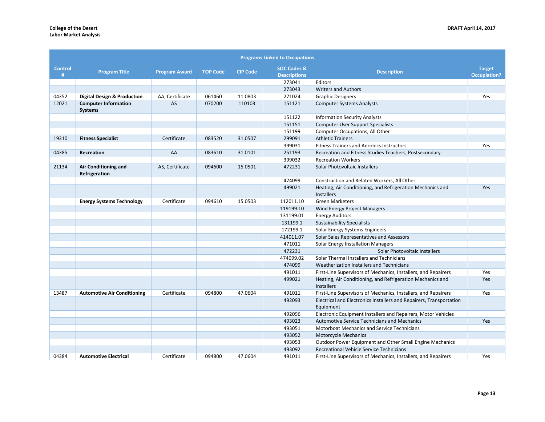|                     |                                               |                      |                 |                 | <b>Programs Linked to Occupations</b>                    |                                                                                  |                                      |
|---------------------|-----------------------------------------------|----------------------|-----------------|-----------------|----------------------------------------------------------|----------------------------------------------------------------------------------|--------------------------------------|
| <b>Control</b><br># | <b>Program Title</b>                          | <b>Program Award</b> | <b>TOP Code</b> | <b>CIP Code</b> | <b>SOC Codes &amp;</b><br><b>Descriptions</b>            | <b>Description</b>                                                               | <b>Target</b><br><b>Occuplation?</b> |
|                     |                                               |                      |                 |                 | 273041                                                   | Editors                                                                          |                                      |
|                     |                                               |                      |                 |                 | 273043                                                   | <b>Writers and Authors</b>                                                       |                                      |
| 04352               | <b>Digital Design &amp; Production</b>        | AA, Certificate      | 061460          | 11.0803         | 271024                                                   | <b>Graphic Designers</b>                                                         | Yes                                  |
| 12021               | <b>Computer Information</b><br><b>Systems</b> | AS                   | 070200          | 110103          | 151121                                                   | <b>Computer Systems Analysts</b>                                                 |                                      |
|                     |                                               |                      |                 |                 | 151122                                                   | <b>Information Security Analysts</b>                                             |                                      |
|                     |                                               |                      |                 |                 | 151151                                                   | <b>Computer User Support Specialists</b>                                         |                                      |
|                     |                                               |                      |                 |                 | 151199                                                   | Computer Occupations, All Other                                                  |                                      |
| 19310               | <b>Fitness Specialist</b>                     | Certificate          | 083520          | 31.0507         | 299091                                                   | <b>Athletic Trainers</b>                                                         |                                      |
|                     |                                               |                      |                 |                 | 399031                                                   | <b>Fitness Trainers and Aerobics Instructors</b>                                 | Yes                                  |
| 04385               | Recreation                                    | AA                   | 083610          | 31.0101         | 251193                                                   | Recreation and Fitness Studies Teachers, Postsecondary                           |                                      |
|                     |                                               |                      |                 |                 | 399032                                                   | <b>Recreation Workers</b>                                                        |                                      |
| 21134               | Air Conditioning and<br>Refrigeration         | AS, Certificate      | 094600          | 15.0501         | 472231                                                   | Solar Photovoltaic Installers                                                    |                                      |
|                     |                                               |                      |                 |                 | 474099                                                   | Construction and Related Workers, All Other                                      |                                      |
|                     |                                               |                      |                 |                 | 499021                                                   | Heating, Air Conditioning, and Refrigeration Mechanics and<br>Installers         | Yes                                  |
|                     | <b>Energy Systems Technology</b>              | Certificate          | 094610          | 15.0503         | 112011.10                                                | <b>Green Marketers</b>                                                           |                                      |
|                     |                                               |                      |                 |                 | 119199.10                                                | Wind Energy Project Managers                                                     |                                      |
|                     |                                               |                      |                 |                 | 131199.01                                                | <b>Energy Auditors</b>                                                           |                                      |
|                     |                                               |                      |                 |                 | 131199.1                                                 | <b>Sustainability Specialists</b>                                                |                                      |
|                     |                                               |                      |                 |                 | 172199.1                                                 | Solar Energy Systems Engineers                                                   |                                      |
|                     |                                               |                      |                 |                 | 414011.07                                                | Solar Sales Representatives and Assessors                                        |                                      |
|                     |                                               |                      |                 |                 | 471011                                                   | Solar Energy Installation Managers                                               |                                      |
|                     |                                               |                      |                 |                 | 472231                                                   | Solar Photovoltaic Installers                                                    |                                      |
|                     |                                               |                      |                 |                 | 474099.02                                                | Solar Thermal Installers and Technicians                                         |                                      |
|                     |                                               |                      |                 |                 | 474099                                                   | Weatherization Installers and Technicians                                        |                                      |
|                     |                                               |                      |                 |                 | 491011                                                   | First-Line Supervisors of Mechanics, Installers, and Repairers                   | Yes                                  |
|                     |                                               |                      |                 |                 | 499021                                                   | Heating, Air Conditioning, and Refrigeration Mechanics and<br>Installers         | Yes                                  |
| 13487               | <b>Automotive Air Conditioning</b>            | Certificate          | 094800          | 47.0604         | 491011                                                   | First-Line Supervisors of Mechanics, Installers, and Repairers                   | Yes                                  |
|                     |                                               |                      |                 |                 | 492093                                                   | Electrical and Electronics Installers and Repairers, Transportation<br>Equipment |                                      |
|                     |                                               |                      |                 |                 | 492096                                                   | Electronic Equipment Installers and Repairers, Motor Vehicles                    |                                      |
|                     |                                               |                      |                 |                 | 493023                                                   | <b>Automotive Service Technicians and Mechanics</b>                              | Yes                                  |
|                     |                                               |                      |                 |                 | 493051                                                   | Motorboat Mechanics and Service Technicians                                      |                                      |
|                     |                                               |                      |                 |                 | 493052                                                   | <b>Motorcycle Mechanics</b>                                                      |                                      |
|                     |                                               |                      |                 | 493053          | Outdoor Power Equipment and Other Small Engine Mechanics |                                                                                  |                                      |
|                     |                                               |                      |                 |                 | 493092                                                   | Recreational Vehicle Service Technicians                                         |                                      |
| 04384               | <b>Automotive Electrical</b>                  | Certificate          | 094800          | 47.0604         | 491011                                                   | First-Line Supervisors of Mechanics, Installers, and Repairers                   | Yes                                  |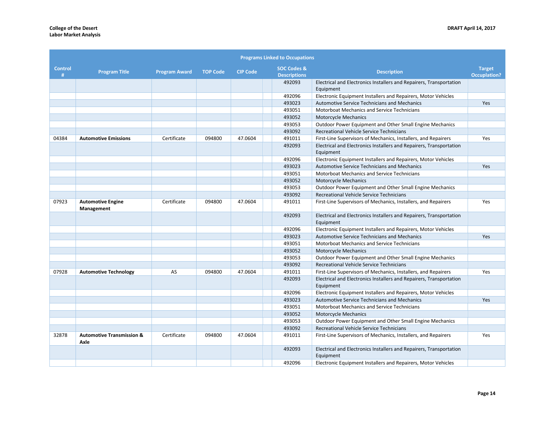|                     | <b>Programs Linked to Occupations</b>        |                      |                 |                 |  |                                               |                                                                                  |                                      |
|---------------------|----------------------------------------------|----------------------|-----------------|-----------------|--|-----------------------------------------------|----------------------------------------------------------------------------------|--------------------------------------|
| <b>Control</b><br># | <b>Program Title</b>                         | <b>Program Award</b> | <b>TOP Code</b> | <b>CIP Code</b> |  | <b>SOC Codes &amp;</b><br><b>Descriptions</b> | <b>Description</b>                                                               | <b>Target</b><br><b>Occuplation?</b> |
|                     |                                              |                      |                 |                 |  | 492093                                        | Electrical and Electronics Installers and Repairers, Transportation<br>Equipment |                                      |
|                     |                                              |                      |                 |                 |  | 492096                                        | Electronic Equipment Installers and Repairers, Motor Vehicles                    |                                      |
|                     |                                              |                      |                 |                 |  | 493023                                        | <b>Automotive Service Technicians and Mechanics</b>                              | Yes                                  |
|                     |                                              |                      |                 |                 |  | 493051                                        | Motorboat Mechanics and Service Technicians                                      |                                      |
|                     |                                              |                      |                 |                 |  | 493052                                        | <b>Motorcycle Mechanics</b>                                                      |                                      |
|                     |                                              |                      |                 |                 |  | 493053                                        | Outdoor Power Equipment and Other Small Engine Mechanics                         |                                      |
|                     |                                              |                      |                 |                 |  | 493092                                        | Recreational Vehicle Service Technicians                                         |                                      |
| 04384               | <b>Automotive Emissions</b>                  | Certificate          | 094800          | 47.0604         |  | 491011                                        | First-Line Supervisors of Mechanics, Installers, and Repairers                   | Yes                                  |
|                     |                                              |                      |                 |                 |  | 492093                                        | Electrical and Electronics Installers and Repairers, Transportation<br>Equipment |                                      |
|                     |                                              |                      |                 |                 |  | 492096                                        | Electronic Equipment Installers and Repairers, Motor Vehicles                    |                                      |
|                     |                                              |                      |                 |                 |  | 493023                                        | <b>Automotive Service Technicians and Mechanics</b>                              | Yes                                  |
|                     |                                              |                      |                 |                 |  | 493051                                        | Motorboat Mechanics and Service Technicians                                      |                                      |
|                     |                                              |                      |                 |                 |  | 493052                                        | <b>Motorcycle Mechanics</b>                                                      |                                      |
|                     |                                              |                      |                 |                 |  | 493053                                        | Outdoor Power Equipment and Other Small Engine Mechanics                         |                                      |
|                     |                                              |                      |                 |                 |  | 493092                                        | Recreational Vehicle Service Technicians                                         |                                      |
| 07923               | <b>Automotive Engine</b><br>Management       | Certificate          | 094800          | 47.0604         |  | 491011                                        | First-Line Supervisors of Mechanics, Installers, and Repairers                   | Yes                                  |
|                     |                                              |                      |                 |                 |  | 492093                                        | Electrical and Electronics Installers and Repairers, Transportation<br>Equipment |                                      |
|                     |                                              |                      |                 |                 |  | 492096                                        | Electronic Equipment Installers and Repairers, Motor Vehicles                    |                                      |
|                     |                                              |                      |                 |                 |  | 493023                                        | <b>Automotive Service Technicians and Mechanics</b>                              | Yes                                  |
|                     |                                              |                      |                 |                 |  | 493051                                        | Motorboat Mechanics and Service Technicians                                      |                                      |
|                     |                                              |                      |                 |                 |  | 493052                                        | <b>Motorcycle Mechanics</b>                                                      |                                      |
|                     |                                              |                      |                 |                 |  | 493053                                        | <b>Outdoor Power Equipment and Other Small Engine Mechanics</b>                  |                                      |
|                     |                                              |                      |                 |                 |  | 493092                                        | Recreational Vehicle Service Technicians                                         |                                      |
| 07928               | <b>Automotive Technology</b>                 | AS                   | 094800          | 47.0604         |  | 491011                                        | First-Line Supervisors of Mechanics, Installers, and Repairers                   | Yes                                  |
|                     |                                              |                      |                 |                 |  | 492093                                        | Electrical and Electronics Installers and Repairers, Transportation<br>Equipment |                                      |
|                     |                                              |                      |                 |                 |  | 492096                                        | Electronic Equipment Installers and Repairers, Motor Vehicles                    |                                      |
|                     |                                              |                      |                 |                 |  | 493023                                        | <b>Automotive Service Technicians and Mechanics</b>                              | Yes                                  |
|                     |                                              |                      |                 |                 |  | 493051                                        | Motorboat Mechanics and Service Technicians                                      |                                      |
|                     |                                              |                      |                 |                 |  | 493052                                        | Motorcycle Mechanics                                                             |                                      |
|                     |                                              |                      |                 |                 |  | 493053                                        | Outdoor Power Equipment and Other Small Engine Mechanics                         |                                      |
|                     |                                              |                      |                 |                 |  | 493092                                        | Recreational Vehicle Service Technicians                                         |                                      |
| 32878               | <b>Automotive Transmission &amp;</b><br>Axle | Certificate          | 094800          | 47.0604         |  | 491011                                        | First-Line Supervisors of Mechanics, Installers, and Repairers                   | Yes                                  |
|                     |                                              |                      |                 |                 |  | 492093                                        | Electrical and Electronics Installers and Repairers, Transportation<br>Equipment |                                      |
|                     |                                              |                      |                 |                 |  | 492096                                        | Electronic Equipment Installers and Repairers, Motor Vehicles                    |                                      |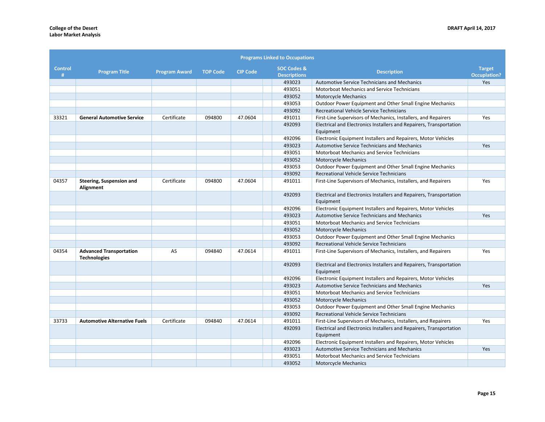|              | <b>Programs Linked to Occupations</b>                 |                      |                 |                 |                                               |                                                                                  |                                      |
|--------------|-------------------------------------------------------|----------------------|-----------------|-----------------|-----------------------------------------------|----------------------------------------------------------------------------------|--------------------------------------|
| Control<br># | <b>Program Title</b>                                  | <b>Program Award</b> | <b>TOP Code</b> | <b>CIP Code</b> | <b>SOC Codes &amp;</b><br><b>Descriptions</b> | <b>Description</b>                                                               | <b>Target</b><br><b>Occuplation?</b> |
|              |                                                       |                      |                 |                 | 493023                                        | Automotive Service Technicians and Mechanics                                     | Yes                                  |
|              |                                                       |                      |                 |                 | 493051                                        | <b>Motorboat Mechanics and Service Technicians</b>                               |                                      |
|              |                                                       |                      |                 |                 | 493052                                        | Motorcycle Mechanics                                                             |                                      |
|              |                                                       |                      |                 |                 | 493053                                        | Outdoor Power Equipment and Other Small Engine Mechanics                         |                                      |
|              |                                                       |                      |                 |                 | 493092                                        | Recreational Vehicle Service Technicians                                         |                                      |
| 33321        | <b>General Automotive Service</b>                     | Certificate          | 094800          | 47.0604         | 491011                                        | First-Line Supervisors of Mechanics, Installers, and Repairers                   | Yes                                  |
|              |                                                       |                      |                 |                 | 492093                                        | Electrical and Electronics Installers and Repairers, Transportation<br>Equipment |                                      |
|              |                                                       |                      |                 |                 | 492096                                        | Electronic Equipment Installers and Repairers, Motor Vehicles                    |                                      |
|              |                                                       |                      |                 |                 | 493023                                        | <b>Automotive Service Technicians and Mechanics</b>                              | Yes                                  |
|              |                                                       |                      |                 |                 | 493051                                        | Motorboat Mechanics and Service Technicians                                      |                                      |
|              |                                                       |                      |                 |                 | 493052                                        | Motorcycle Mechanics                                                             |                                      |
|              |                                                       |                      |                 |                 | 493053                                        | Outdoor Power Equipment and Other Small Engine Mechanics                         |                                      |
|              |                                                       |                      |                 |                 | 493092                                        | Recreational Vehicle Service Technicians                                         |                                      |
| 04357        | Steering, Suspension and<br>Alignment                 | Certificate          | 094800          | 47.0604         | 491011                                        | First-Line Supervisors of Mechanics, Installers, and Repairers                   | Yes                                  |
|              |                                                       |                      |                 |                 | 492093                                        | Electrical and Electronics Installers and Repairers, Transportation<br>Equipment |                                      |
|              |                                                       |                      |                 |                 | 492096                                        | Electronic Equipment Installers and Repairers, Motor Vehicles                    |                                      |
|              |                                                       |                      |                 |                 | 493023                                        | <b>Automotive Service Technicians and Mechanics</b>                              | Yes                                  |
|              |                                                       |                      |                 |                 | 493051                                        | Motorboat Mechanics and Service Technicians                                      |                                      |
|              |                                                       |                      |                 |                 | 493052                                        | <b>Motorcycle Mechanics</b>                                                      |                                      |
|              |                                                       |                      |                 |                 | 493053                                        | Outdoor Power Equipment and Other Small Engine Mechanics                         |                                      |
|              |                                                       |                      |                 |                 | 493092                                        | Recreational Vehicle Service Technicians                                         |                                      |
| 04354        | <b>Advanced Transportation</b><br><b>Technologies</b> | AS                   | 094840          | 47.0614         | 491011                                        | First-Line Supervisors of Mechanics, Installers, and Repairers                   | Yes                                  |
|              |                                                       |                      |                 |                 | 492093                                        | Electrical and Electronics Installers and Repairers, Transportation<br>Equipment |                                      |
|              |                                                       |                      |                 |                 | 492096                                        | Electronic Equipment Installers and Repairers, Motor Vehicles                    |                                      |
|              |                                                       |                      |                 |                 | 493023                                        | Automotive Service Technicians and Mechanics                                     | <b>Yes</b>                           |
|              |                                                       |                      |                 |                 | 493051                                        | Motorboat Mechanics and Service Technicians                                      |                                      |
|              |                                                       |                      |                 |                 | 493052                                        | <b>Motorcycle Mechanics</b>                                                      |                                      |
|              |                                                       |                      |                 |                 | 493053                                        | Outdoor Power Equipment and Other Small Engine Mechanics                         |                                      |
|              |                                                       |                      |                 |                 | 493092                                        | Recreational Vehicle Service Technicians                                         |                                      |
| 33733        | <b>Automotive Alternative Fuels</b>                   | Certificate          | 094840          | 47.0614         | 491011                                        | First-Line Supervisors of Mechanics, Installers, and Repairers                   | Yes                                  |
|              |                                                       |                      |                 |                 | 492093                                        | Electrical and Electronics Installers and Repairers, Transportation<br>Equipment |                                      |
|              |                                                       |                      |                 |                 | 492096                                        | Electronic Equipment Installers and Repairers, Motor Vehicles                    |                                      |
|              |                                                       |                      |                 |                 | 493023                                        | <b>Automotive Service Technicians and Mechanics</b>                              | Yes                                  |
|              |                                                       |                      |                 |                 | 493051                                        | <b>Motorboat Mechanics and Service Technicians</b>                               |                                      |
|              |                                                       |                      |                 |                 | 493052                                        | <b>Motorcycle Mechanics</b>                                                      |                                      |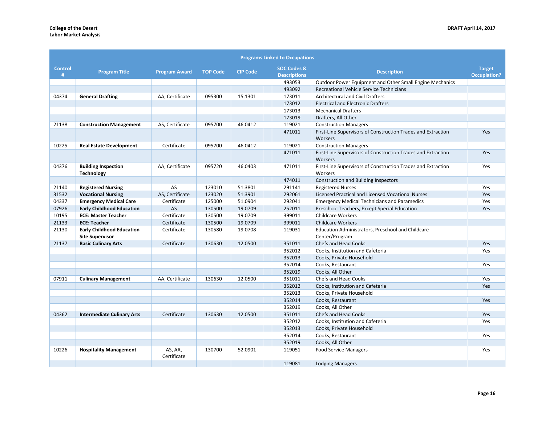| <b>Programs Linked to Occupations</b> |                                                            |                        |                 |                 |                                               |                                                                         |                                      |
|---------------------------------------|------------------------------------------------------------|------------------------|-----------------|-----------------|-----------------------------------------------|-------------------------------------------------------------------------|--------------------------------------|
| <b>Control</b><br>#                   | <b>Program Title</b>                                       | <b>Program Award</b>   | <b>TOP Code</b> | <b>CIP Code</b> | <b>SOC Codes &amp;</b><br><b>Descriptions</b> | <b>Description</b>                                                      | <b>Target</b><br><b>Occuplation?</b> |
|                                       |                                                            |                        |                 |                 | 493053                                        | Outdoor Power Equipment and Other Small Engine Mechanics                |                                      |
|                                       |                                                            |                        |                 |                 | 493092                                        | Recreational Vehicle Service Technicians                                |                                      |
| 04374                                 | <b>General Drafting</b>                                    | AA, Certificate        | 095300          | 15.1301         | 173011                                        | <b>Architectural and Civil Drafters</b>                                 |                                      |
|                                       |                                                            |                        |                 |                 | 173012                                        | <b>Electrical and Electronic Drafters</b>                               |                                      |
|                                       |                                                            |                        |                 |                 | 173013                                        | <b>Mechanical Drafters</b>                                              |                                      |
|                                       |                                                            |                        |                 |                 | 173019                                        | Drafters, All Other                                                     |                                      |
| 21138                                 | <b>Construction Management</b>                             | AS, Certificate        | 095700          | 46.0412         | 119021                                        | <b>Construction Managers</b>                                            |                                      |
|                                       |                                                            |                        |                 |                 | 471011                                        | First-Line Supervisors of Construction Trades and Extraction<br>Workers | Yes                                  |
| 10225                                 | <b>Real Estate Development</b>                             | Certificate            | 095700          | 46.0412         | 119021                                        | <b>Construction Managers</b>                                            |                                      |
|                                       |                                                            |                        |                 |                 | 471011                                        | First-Line Supervisors of Construction Trades and Extraction<br>Workers | Yes                                  |
| 04376                                 | <b>Building Inspection</b><br><b>Technology</b>            | AA, Certificate        | 095720          | 46.0403         | 471011                                        | First-Line Supervisors of Construction Trades and Extraction<br>Workers | Yes                                  |
|                                       |                                                            |                        |                 |                 | 474011                                        | <b>Construction and Building Inspectors</b>                             |                                      |
| 21140                                 | <b>Registered Nursing</b>                                  | AS                     | 123010          | 51.3801         | 291141                                        | <b>Registered Nurses</b>                                                | Yes                                  |
| 31532                                 | <b>Vocational Nursing</b>                                  | AS, Certificate        | 123020          | 51.3901         | 292061                                        | Licensed Practical and Licensed Vocational Nurses                       | Yes                                  |
| 04337                                 | <b>Emergency Medical Care</b>                              | Certificate            | 125000          | 51.0904         | 292041                                        | <b>Emergency Medical Technicians and Paramedics</b>                     | Yes                                  |
| 07926                                 | <b>Early Childhood Education</b>                           | $\mathsf{AS}$          | 130500          | 19.0709         | 252011                                        | Preschool Teachers, Except Special Education                            | Yes                                  |
| 10195                                 | <b>ECE: Master Teacher</b>                                 | Certificate            | 130500          | 19.0709         | 399011                                        | <b>Childcare Workers</b>                                                |                                      |
| 21133                                 | <b>ECE: Teacher</b>                                        | Certificate            | 130500          | 19.0709         | 399011                                        | <b>Childcare Workers</b>                                                |                                      |
| 21130                                 | <b>Early Childhood Education</b><br><b>Site Supervisor</b> | Certificate            | 130580          | 19.0708         | 119031                                        | Education Administrators, Preschool and Childcare<br>Center/Program     |                                      |
| 21137                                 | <b>Basic Culinary Arts</b>                                 | Certificate            | 130630          | 12.0500         | 351011                                        | Chefs and Head Cooks                                                    | Yes                                  |
|                                       |                                                            |                        |                 |                 | 352012                                        | Cooks, Institution and Cafeteria                                        | Yes                                  |
|                                       |                                                            |                        |                 |                 | 352013                                        | Cooks, Private Household                                                |                                      |
|                                       |                                                            |                        |                 |                 | 352014                                        | Cooks, Restaurant                                                       | Yes                                  |
|                                       |                                                            |                        |                 |                 | 352019                                        | Cooks, All Other                                                        |                                      |
| 07911                                 | <b>Culinary Management</b>                                 | AA, Certificate        | 130630          | 12.0500         | 351011                                        | <b>Chefs and Head Cooks</b>                                             | Yes                                  |
|                                       |                                                            |                        |                 |                 | 352012                                        | Cooks, Institution and Cafeteria                                        | Yes                                  |
|                                       |                                                            |                        |                 |                 | 352013                                        | Cooks, Private Household                                                |                                      |
|                                       |                                                            |                        |                 |                 | 352014                                        | Cooks, Restaurant                                                       | Yes                                  |
|                                       |                                                            |                        |                 |                 | 352019                                        | Cooks. All Other                                                        |                                      |
| 04362                                 | <b>Intermediate Culinary Arts</b>                          | Certificate            | 130630          | 12.0500         | 351011                                        | Chefs and Head Cooks                                                    | Yes                                  |
|                                       |                                                            |                        |                 |                 | 352012                                        | Cooks. Institution and Cafeteria                                        | Yes                                  |
|                                       |                                                            |                        |                 |                 | 352013                                        | Cooks, Private Household                                                |                                      |
|                                       |                                                            |                        |                 |                 | 352014                                        | Cooks. Restaurant                                                       | Yes                                  |
|                                       |                                                            |                        |                 |                 | 352019                                        | Cooks, All Other                                                        |                                      |
| 10226                                 | <b>Hospitality Management</b>                              | AS, AA,<br>Certificate | 130700          | 52.0901         | 119051                                        | <b>Food Service Managers</b>                                            | Yes                                  |
|                                       |                                                            |                        |                 |                 | 119081                                        | <b>Lodging Managers</b>                                                 |                                      |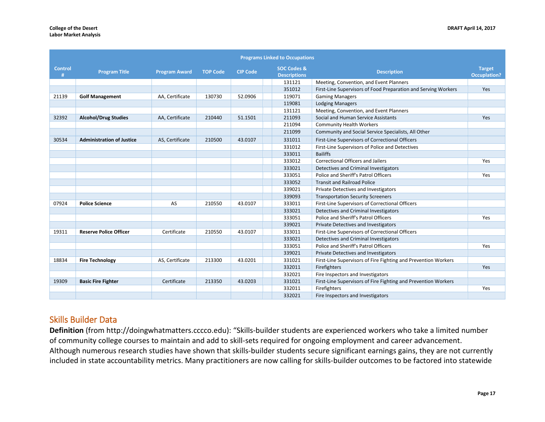| <b>Programs Linked to Occupations</b> |                                  |                      |                 |                 |  |                                               |                                                                |                                      |
|---------------------------------------|----------------------------------|----------------------|-----------------|-----------------|--|-----------------------------------------------|----------------------------------------------------------------|--------------------------------------|
| <b>Control</b><br>#                   | <b>Program Title</b>             | <b>Program Award</b> | <b>TOP Code</b> | <b>CIP Code</b> |  | <b>SOC Codes &amp;</b><br><b>Descriptions</b> | <b>Description</b>                                             | <b>Target</b><br><b>Occuplation?</b> |
|                                       |                                  |                      |                 |                 |  | 131121                                        | Meeting, Convention, and Event Planners                        |                                      |
|                                       |                                  |                      |                 |                 |  | 351012                                        | First-Line Supervisors of Food Preparation and Serving Workers | Yes                                  |
| 21139                                 | <b>Golf Management</b>           | AA, Certificate      | 130730          | 52.0906         |  | 119071                                        | <b>Gaming Managers</b>                                         |                                      |
|                                       |                                  |                      |                 |                 |  | 119081                                        | <b>Lodging Managers</b>                                        |                                      |
|                                       |                                  |                      |                 |                 |  | 131121                                        | Meeting, Convention, and Event Planners                        |                                      |
| 32392                                 | <b>Alcohol/Drug Studies</b>      | AA, Certificate      | 210440          | 51.1501         |  | 211093                                        | Social and Human Service Assistants                            | Yes                                  |
|                                       |                                  |                      |                 |                 |  | 211094                                        | <b>Community Health Workers</b>                                |                                      |
|                                       |                                  |                      |                 |                 |  | 211099                                        | Community and Social Service Specialists, All Other            |                                      |
| 30534                                 | <b>Administration of Justice</b> | AS, Certificate      | 210500          | 43.0107         |  | 331011                                        | First-Line Supervisors of Correctional Officers                |                                      |
|                                       |                                  |                      |                 |                 |  | 331012                                        | First-Line Supervisors of Police and Detectives                |                                      |
|                                       |                                  |                      |                 |                 |  | 333011                                        | <b>Bailiffs</b>                                                |                                      |
|                                       |                                  |                      |                 |                 |  | 333012                                        | <b>Correctional Officers and Jailers</b>                       | Yes                                  |
|                                       |                                  |                      |                 |                 |  | 333021                                        | Detectives and Criminal Investigators                          |                                      |
|                                       |                                  |                      |                 |                 |  | 333051                                        | Police and Sheriff's Patrol Officers                           | Yes                                  |
|                                       |                                  |                      |                 |                 |  | 333052                                        | <b>Transit and Railroad Police</b>                             |                                      |
|                                       |                                  |                      |                 |                 |  | 339021                                        | Private Detectives and Investigators                           |                                      |
|                                       |                                  |                      |                 |                 |  | 339093                                        | <b>Transportation Security Screeners</b>                       |                                      |
| 07924                                 | <b>Police Science</b>            | AS                   | 210550          | 43.0107         |  | 333011                                        | First-Line Supervisors of Correctional Officers                |                                      |
|                                       |                                  |                      |                 |                 |  | 333021                                        | Detectives and Criminal Investigators                          |                                      |
|                                       |                                  |                      |                 |                 |  | 333051                                        | Police and Sheriff's Patrol Officers                           | Yes                                  |
|                                       |                                  |                      |                 |                 |  | 339021                                        | <b>Private Detectives and Investigators</b>                    |                                      |
| 19311                                 | <b>Reserve Police Officer</b>    | Certificate          | 210550          | 43.0107         |  | 333011                                        | First-Line Supervisors of Correctional Officers                |                                      |
|                                       |                                  |                      |                 |                 |  | 333021                                        | Detectives and Criminal Investigators                          |                                      |
|                                       |                                  |                      |                 |                 |  | 333051                                        | Police and Sheriff's Patrol Officers                           | Yes                                  |
|                                       |                                  |                      |                 |                 |  | 339021                                        | Private Detectives and Investigators                           |                                      |
| 18834                                 | <b>Fire Technology</b>           | AS, Certificate      | 213300          | 43.0201         |  | 331021                                        | First-Line Supervisors of Fire Fighting and Prevention Workers |                                      |
|                                       |                                  |                      |                 |                 |  | 332011                                        | Firefighters                                                   | Yes                                  |
|                                       |                                  |                      |                 |                 |  | 332021                                        | Fire Inspectors and Investigators                              |                                      |
| 19309                                 | <b>Basic Fire Fighter</b>        | Certificate          | 213350          | 43.0203         |  | 331021                                        | First-Line Supervisors of Fire Fighting and Prevention Workers |                                      |
|                                       |                                  |                      |                 |                 |  | 332011                                        | Firefighters                                                   | Yes                                  |
|                                       |                                  |                      |                 |                 |  | 332021                                        | Fire Inspectors and Investigators                              |                                      |

# Skills Builder Data

**Definition** (from http://doingwhatmatters.cccco.edu): "Skills-builder students are experienced workers who take a limited number of community college courses to maintain and add to skill-sets required for ongoing employment and career advancement. Although numerous research studies have shown that skills-builder students secure significant earnings gains, they are not currently included in state accountability metrics. Many practitioners are now calling for skills-builder outcomes to be factored into statewide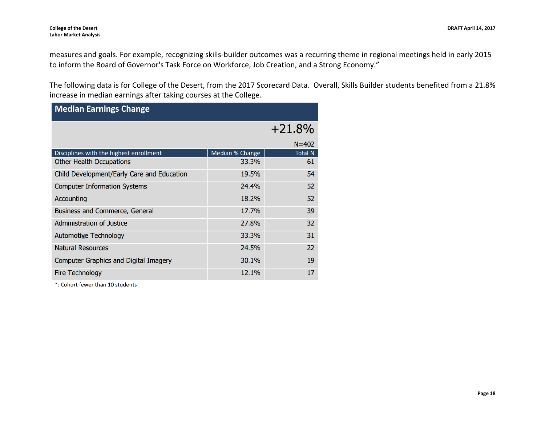measures and goals. For example, recognizing skills-builder outcomes was a recurring theme in regional meetings held in early 2015 to inform the Board of Governor's Task Force on Workforce, Job Creation, and a Strong Economy."

The following data is for College of the Desert, from the 2017 Scorecard Data. Overall, Skills Builder students benefited from a 21.8% increase in median earnings after taking courses at the College.

| <b>Median Earnings Change</b>              |                 |                |  |  |  |  |  |
|--------------------------------------------|-----------------|----------------|--|--|--|--|--|
|                                            |                 | $+21.8%$       |  |  |  |  |  |
|                                            |                 | $N = 402$      |  |  |  |  |  |
| Disciplines with the highest enrollment    | Median % Change | <b>Total N</b> |  |  |  |  |  |
| <b>Other Health Occupations</b>            | 33.3%           | 61             |  |  |  |  |  |
| Child Development/Early Care and Education | 19.5%           | 54             |  |  |  |  |  |
| <b>Computer Information Systems</b>        | 24.4%           | 52             |  |  |  |  |  |
| Accounting                                 | 18.2%           | 52             |  |  |  |  |  |
| Business and Commerce, General             | 17.7%           | 39             |  |  |  |  |  |
| Administration of Justice                  | 27.8%           | 32             |  |  |  |  |  |
| <b>Automotive Technology</b>               | 33.3%           | 31             |  |  |  |  |  |
| <b>Natural Resources</b>                   | 24.5%           | 22             |  |  |  |  |  |
| Computer Graphics and Digital Imagery      | 30.1%           | 19             |  |  |  |  |  |
| <b>Fire Technology</b>                     | 12.1%           | 17             |  |  |  |  |  |

\*: Cohort fewer than 10 students